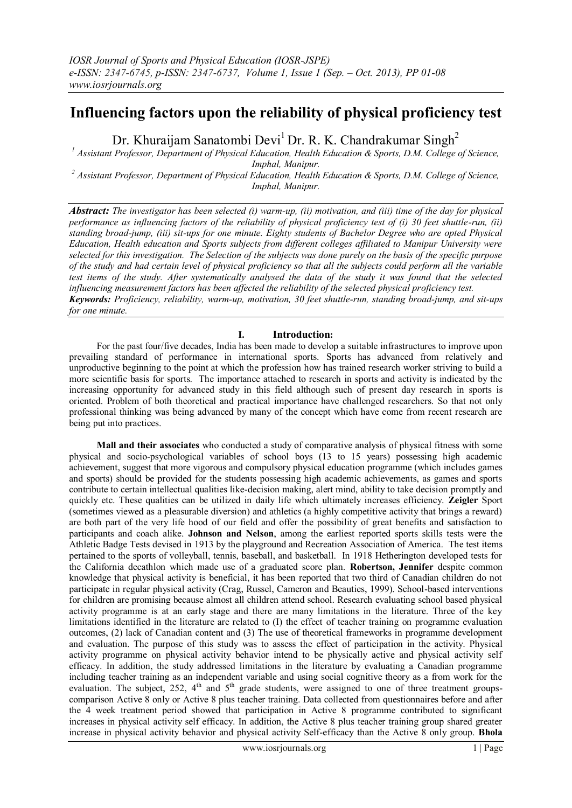# **Influencing factors upon the reliability of physical proficiency test**

Dr. Khuraijam Sanatombi Devi<sup>1</sup> Dr. R. K. Chandrakumar Singh<sup>2</sup>

*<sup>1</sup> Assistant Professor, Department of Physical Education, Health Education & Sports, D.M. College of Science, Imphal, Manipur.*

*<sup>2</sup> Assistant Professor, Department of Physical Education, Health Education & Sports, D.M. College of Science, Imphal, Manipur.*

*Abstract: The investigator has been selected (i) warm-up, (ii) motivation, and (iii) time of the day for physical performance as influencing factors of the reliability of physical proficiency test of (i) 30 feet shuttle-run, (ii) standing broad-jump, (iii) sit-ups for one minute. Eighty students of Bachelor Degree who are opted Physical Education, Health education and Sports subjects from different colleges affiliated to Manipur University were selected for this investigation. The Selection of the subjects was done purely on the basis of the specific purpose of the study and had certain level of physical proficiency so that all the subjects could perform all the variable test items of the study. After systematically analysed the data of the study it was found that the selected influencing measurement factors has been affected the reliability of the selected physical proficiency test. Keywords: Proficiency, reliability, warm-up, motivation, 30 feet shuttle-run, standing broad-jump, and sit-ups for one minute.*

# **I. Introduction:**

For the past four/five decades, India has been made to develop a suitable infrastructures to improve upon prevailing standard of performance in international sports. Sports has advanced from relatively and unproductive beginning to the point at which the profession how has trained research worker striving to build a more scientific basis for sports. The importance attached to research in sports and activity is indicated by the increasing opportunity for advanced study in this field although such of present day research in sports is oriented. Problem of both theoretical and practical importance have challenged researchers. So that not only professional thinking was being advanced by many of the concept which have come from recent research are being put into practices.

**Mall and their associates** who conducted a study of comparative analysis of physical fitness with some physical and socio-psychological variables of school boys (13 to 15 years) possessing high academic achievement, suggest that more vigorous and compulsory physical education programme (which includes games and sports) should be provided for the students possessing high academic achievements, as games and sports contribute to certain intellectual qualities like-decision making, alert mind, ability to take decision promptly and quickly etc. These qualities can be utilized in daily life which ultimately increases efficiency. **Zeigler** Sport (sometimes viewed as a pleasurable diversion) and athletics (a highly competitive activity that brings a reward) are both part of the very life hood of our field and offer the possibility of great benefits and satisfaction to participants and coach alike. **Johnson and Nelson**, among the earliest reported sports skills tests were the Athletic Badge Tests devised in 1913 by the playground and Recreation Association of America. The test items pertained to the sports of volleyball, tennis, baseball, and basketball. In 1918 Hetherington developed tests for the California decathlon which made use of a graduated score plan. **Robertson, Jennifer** despite common knowledge that physical activity is beneficial, it has been reported that two third of Canadian children do not participate in regular physical activity (Crag, Russel, Cameron and Beauties, 1999). School-based interventions for children are promising because almost all children attend school. Research evaluating school based physical activity programme is at an early stage and there are many limitations in the literature. Three of the key limitations identified in the literature are related to (I) the effect of teacher training on programme evaluation outcomes, (2) lack of Canadian content and (3) The use of theoretical frameworks in programme development and evaluation. The purpose of this study was to assess the effect of participation in the activity. Physical activity programme on physical activity behavior intend to be physically active and physical activity self efficacy. In addition, the study addressed limitations in the literature by evaluating a Canadian programme including teacher training as an independent variable and using social cognitive theory as a from work for the evaluation. The subject, 252, 4<sup>th</sup> and 5<sup>th</sup> grade students, were assigned to one of three treatment groupscomparison Active 8 only or Active 8 plus teacher training. Data collected from questionnaires before and after the 4 week treatment period showed that participation in Active 8 programme contributed to significant increases in physical activity self efficacy. In addition, the Active 8 plus teacher training group shared greater increase in physical activity behavior and physical activity Self-efficacy than the Active 8 only group. **Bhola**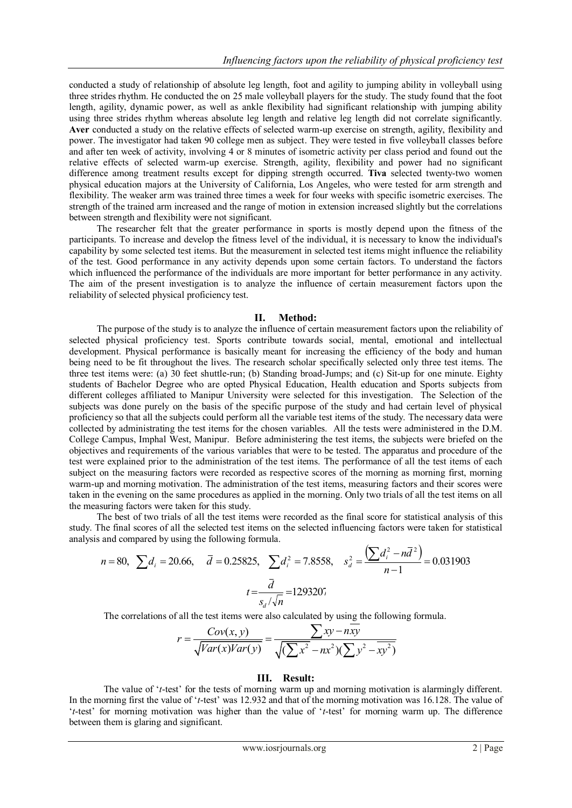conducted a study of relationship of absolute leg length, foot and agility to jumping ability in volleyball using three strides rhythm. He conducted the on 25 male volleyball players for the study. The study found that the foot length, agility, dynamic power, as well as ankle flexibility had significant relationship with jumping ability using three strides rhythm whereas absolute leg length and relative leg length did not correlate significantly. **Aver** conducted a study on the relative effects of selected warm-up exercise on strength, agility, flexibility and power. The investigator had taken 90 college men as subject. They were tested in five volleyball classes before and after ten week of activity, involving 4 or 8 minutes of isometric activity per class period and found out the relative effects of selected warm-up exercise. Strength, agility, flexibility and power had no significant difference among treatment results except for dipping strength occurred. **Tiva** selected twenty-two women physical education majors at the University of California, Los Angeles, who were tested for arm strength and flexibility. The weaker arm was trained three times a week for four weeks with specific isometric exercises. The strength of the trained arm increased and the range of motion in extension increased slightly but the correlations between strength and flexibility were not significant.

The researcher felt that the greater performance in sports is mostly depend upon the fitness of the participants. To increase and develop the fitness level of the individual, it is necessary to know the individual's capability by some selected test items. But the measurement in selected test items might influence the reliability of the test. Good performance in any activity depends upon some certain factors. To understand the factors which influenced the performance of the individuals are more important for better performance in any activity. The aim of the present investigation is to analyze the influence of certain measurement factors upon the reliability of selected physical proficiency test.

### **II. Method:**

The purpose of the study is to analyze the influence of certain measurement factors upon the reliability of selected physical proficiency test. Sports contribute towards social, mental, emotional and intellectual development. Physical performance is basically meant for increasing the efficiency of the body and human being need to be fit throughout the lives. The research scholar specifically selected only three test items. The three test items were: (a) 30 feet shuttle-run; (b) Standing broad-Jumps; and (c) Sit-up for one minute. Eighty students of Bachelor Degree who are opted Physical Education, Health education and Sports subjects from different colleges affiliated to Manipur University were selected for this investigation. The Selection of the subjects was done purely on the basis of the specific purpose of the study and had certain level of physical proficiency so that all the subjects could perform all the variable test items of the study. The necessary data were collected by administrating the test items for the chosen variables. All the tests were administered in the D.M. College Campus, Imphal West, Manipur. Before administering the test items, the subjects were briefed on the objectives and requirements of the various variables that were to be tested. The apparatus and procedure of the test were explained prior to the administration of the test items. The performance of all the test items of each subject on the measuring factors were recorded as respective scores of the morning as morning first, morning warm-up and morning motivation. The administration of the test items, measuring factors and their scores were taken in the evening on the same procedures as applied in the morning. Only two trials of all the test items on all the measuring factors were taken for this study.

The best of two trials of all the test items were recorded as the final score for statistical analysis of this study. The final scores of all the selected test items on the selected influencing factors were taken for statistical analysis and compared by using the following formula.

$$
n = 80, \sum d_i = 20.66, \quad \overline{d} = 0.25825, \sum d_i^2 = 7.8558, \quad s_d^2 = \frac{\left(\sum d_i^2 - n\overline{d}^2\right)}{n-1} = 0.031903
$$
\n
$$
t = \frac{\overline{d}}{s_d/\sqrt{n}} = 1293207
$$

The correlations of all the test items were also calculated by using the following formula.  
\n
$$
r = \frac{Cov(x, y)}{\sqrt{Var(x)Var(y)}} = \frac{\sum xy - nxy}{\sqrt{(\sum x^2 - nx^2)(\sum y^2 - xy^2)}}
$$

### **III. Result:**

The value of "*t*-test" for the tests of morning warm up and morning motivation is alarmingly different. In the morning first the value of '*t*-test' was 12.932 and that of the morning motivation was 16.128. The value of "*t*-test" for morning motivation was higher than the value of "*t*-test" for morning warm up. The difference between them is glaring and significant.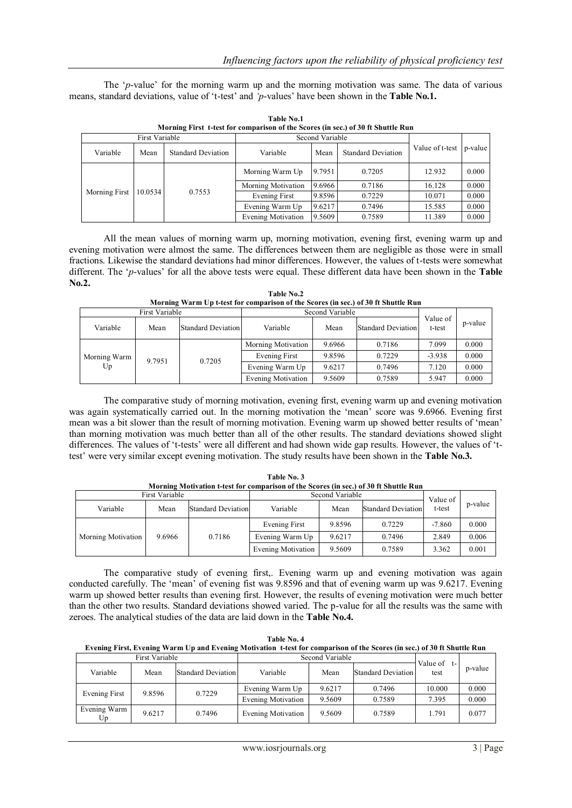The '*p*-value' for the morning warm up and the morning motivation was same. The data of various means, standard deviations, value of "t-test" and *'p*-values" have been shown in the **Table No.1.**

|               | First Variable |                           |                           | Second Variable |                           |                         |       |
|---------------|----------------|---------------------------|---------------------------|-----------------|---------------------------|-------------------------|-------|
| Variable      | Mean           | <b>Standard Deviation</b> | Variable                  | Mean            | <b>Standard Deviation</b> | Value of t-test p-value |       |
|               |                |                           | Morning Warm Up           | 9.7951          | 0.7205                    | 12.932                  | 0.000 |
|               |                |                           | Morning Motivation        | 9.6966          | 0.7186                    | 16.128                  | 0.000 |
| Morning First | 10.0534        | 0.7553                    | Evening First             | 9.8596          | 0.7229                    | 10.071                  | 0.000 |
|               |                |                           | Evening Warm Up           | 9.6217          | 0.7496                    | 15.585                  | 0.000 |
|               |                |                           | <b>Evening Motivation</b> | 9.5609          | 0.7589                    | 11.389                  | 0.000 |

**Table No.1 Morning First t-test for comparison of the Scores (in sec.) of 30 ft Shuttle Run**

All the mean values of morning warm up, morning motivation, evening first, evening warm up and evening motivation were almost the same. The differences between them are negligible as those were in small fractions. Likewise the standard deviations had minor differences. However, the values of t-tests were somewhat different. The "*p*-values" for all the above tests were equal. These different data have been shown in the **Table No.2.**

**Table No.2 Morning Warm Up t-test for comparison of the Scores (in sec.) of 30 ft Shuttle Run**

|                    | <b>First Variable</b> |                    |                    | Second Variable |                           |                    |         |
|--------------------|-----------------------|--------------------|--------------------|-----------------|---------------------------|--------------------|---------|
| Variable           | Mean                  | Standard Deviation | Variable           | Mean            | <b>Standard Deviation</b> | Value of<br>t-test | p-value |
|                    |                       |                    | Morning Motivation | 9.6966          | 0.7186                    | 7.099              | 0.000   |
| Morning Warm<br>Up |                       |                    | Evening First      | 9.8596          | 0.7229                    | $-3.938$           | 0.000   |
|                    | 9.7951                | 0.7205             | Evening Warm Up    | 9.6217          | 0.7496                    | 7.120              | 0.000   |
|                    |                       |                    | Evening Motivation | 9.5609          | 0.7589                    | 5.947              | 0.000   |

The comparative study of morning motivation, evening first, evening warm up and evening motivation was again systematically carried out. In the morning motivation the "mean" score was 9.6966. Evening first mean was a bit slower than the result of morning motivation. Evening warm up showed better results of "mean" than morning motivation was much better than all of the other results. The standard deviations showed slight differences. The values of "t-tests" were all different and had shown wide gap results. However, the values of "ttest" were very similar except evening motivation. The study results have been shown in the **Table No.3.**

| Morning Motivation t-test for comparison of the Scores (in sec.) of 30 ft Shuttle Run |        |                           |                    |                 |                           |          |         |  |  |
|---------------------------------------------------------------------------------------|--------|---------------------------|--------------------|-----------------|---------------------------|----------|---------|--|--|
| First Variable                                                                        |        |                           |                    | Second Variable |                           | Value of |         |  |  |
| Variable                                                                              | Mean   | <b>Standard Deviation</b> | Variable           | Mean            | <b>Standard Deviation</b> | t-test   | p-value |  |  |
|                                                                                       |        |                           | Evening First      | 9.8596          | 0.7229                    | $-7.860$ | 0.000   |  |  |
| Morning Motivation                                                                    | 9.6966 | 0.7186                    | Evening Warm Up    | 9.6217          | 0.7496                    | 2.849    | 0.006   |  |  |
|                                                                                       |        |                           | Evening Motivation | 9.5609          | 0.7589                    | 3.362    | 0.001   |  |  |

**Table No. 3**

The comparative study of evening first,. Evening warm up and evening motivation was again conducted carefully. The "mean" of evening fist was 9.8596 and that of evening warm up was 9.6217. Evening warm up showed better results than evening first. However, the results of evening motivation were much better than the other two results. Standard deviations showed varied. The p-value for all the results was the same with zeroes. The analytical studies of the data are laid down in the **Table No.4.**

| Table No. 4                                                                                                              |
|--------------------------------------------------------------------------------------------------------------------------|
| Evening First, Evening Warm Up and Evening Motivation t-test for comparison of the Scores (in sec.) of 30 ft Shuttle Run |

| <b>First Variable</b> |        |                           | Second Variable    |        |                           |                          |         |
|-----------------------|--------|---------------------------|--------------------|--------|---------------------------|--------------------------|---------|
| Variable              | Mean   | <b>Standard Deviation</b> | Variable           | Mean   | <b>Standard Deviation</b> | Value of<br>$t-$<br>test | p-value |
| Evening First         | 9.8596 | 0.7229                    | Evening Warm Up    | 9.6217 | 0.7496                    | 10.000                   | 0.000   |
|                       |        |                           | Evening Motivation | 9.5609 | 0.7589                    | 7.395                    | 0.000   |
| Evening Warm<br>Up    | 9.6217 | 0.7496                    | Evening Motivation | 9.5609 | 0.7589                    | 1.791                    | 0.077   |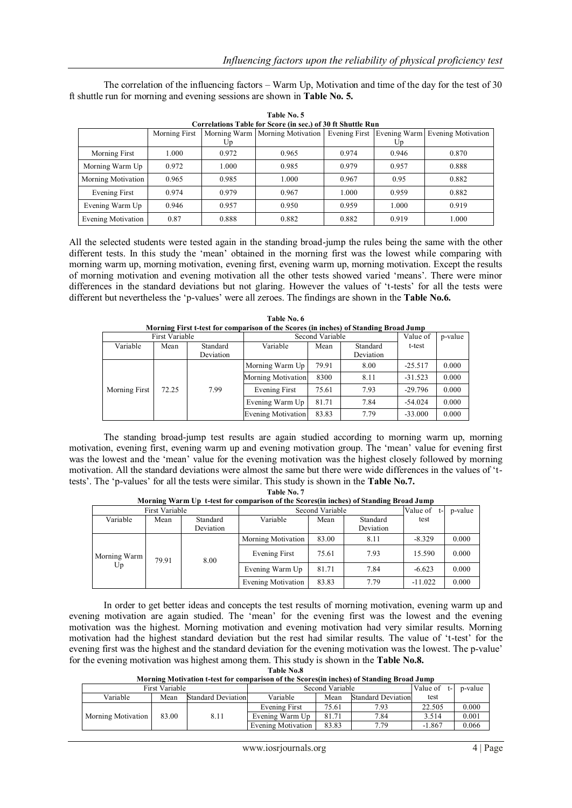|                    | Correlations Table for Score (in sec.) of 30 ft Shuttle Run |       |                                                                                       |       |       |       |  |  |  |  |  |
|--------------------|-------------------------------------------------------------|-------|---------------------------------------------------------------------------------------|-------|-------|-------|--|--|--|--|--|
|                    | Morning First                                               |       | Morning Warm   Morning Motivation   Evening First   Evening Warm   Evening Motivation |       |       |       |  |  |  |  |  |
|                    |                                                             | Up    |                                                                                       |       | Up    |       |  |  |  |  |  |
| Morning First      | 1.000                                                       | 0.972 | 0.965                                                                                 | 0.974 | 0.946 | 0.870 |  |  |  |  |  |
| Morning Warm Up    | 0.972                                                       | 1.000 | 0.985                                                                                 | 0.979 | 0.957 | 0.888 |  |  |  |  |  |
| Morning Motivation | 0.965                                                       | 0.985 | 1.000                                                                                 | 0.967 | 0.95  | 0.882 |  |  |  |  |  |
| Evening First      | 0.974                                                       | 0.979 | 0.967                                                                                 | 1.000 | 0.959 | 0.882 |  |  |  |  |  |
| Evening Warm Up    | 0.946                                                       | 0.957 | 0.950                                                                                 | 0.959 | 1.000 | 0.919 |  |  |  |  |  |
| Evening Motivation | 0.87                                                        | 0.888 | 0.882                                                                                 | 0.882 | 0.919 | 1.000 |  |  |  |  |  |

The correlation of the influencing factors – Warm Up, Motivation and time of the day for the test of 30 ft shuttle run for morning and evening sessions are shown in **Table No. 5.**

**Table No. 5**

All the selected students were tested again in the standing broad-jump the rules being the same with the other different tests. In this study the "mean" obtained in the morning first was the lowest while comparing with morning warm up, morning motivation, evening first, evening warm up, morning motivation. Except the results of morning motivation and evening motivation all the other tests showed varied "means". There were minor differences in the standard deviations but not glaring. However the values of "t-tests" for all the tests were different but nevertheless the "p-values" were all zeroes. The findings are shown in the **Table No.6.**

|               | <b>First Variable</b> |           |                           | Second Variable |           | Value of  | p-value |
|---------------|-----------------------|-----------|---------------------------|-----------------|-----------|-----------|---------|
| Variable      | Mean                  | Standard  | Variable                  | Mean            | Standard  | t-test    |         |
|               |                       | Deviation |                           |                 | Deviation |           |         |
|               |                       |           | Morning Warm Up           | 79.91           | 8.00      | $-25.517$ | 0.000   |
|               |                       |           | <b>Morning Motivation</b> | 8300            | 8.11      | $-31.523$ | 0.000   |
| Morning First | 72.25                 | 7.99      | Evening First             | 75.61           | 7.93      | $-29.796$ | 0.000   |
|               |                       |           | Evening Warm Up           | 81.71           | 7.84      | $-54.024$ | 0.000   |
|               |                       |           | Evening Motivation        | 83.83           | 7.79      | $-33.000$ | 0.000   |

**Table No. 6 Morning First t-test for comparison of the Scores (in inches) of Standing Broad Jump**

The standing broad-jump test results are again studied according to morning warm up, morning motivation, evening first, evening warm up and evening motivation group. The "mean" value for evening first was the lowest and the "mean" value for the evening motivation was the highest closely followed by morning motivation. All the standard deviations were almost the same but there were wide differences in the values of "ttests". The "p-values" for all the tests were similar. This study is shown in the **Table No.7.**

| Table No. 7 |  |
|-------------|--|
|-------------|--|

**Morning Warm Up t-test for comparison of the Scores(in inches) of Standing Broad Jump**

|              | First Variable |           |                    | Second Variable |           | Value of<br>$t-1$ | p-value |
|--------------|----------------|-----------|--------------------|-----------------|-----------|-------------------|---------|
| Variable     | Mean           | Standard  | Variable           | Mean            | Standard  | test              |         |
|              |                | Deviation |                    |                 | Deviation |                   |         |
|              |                |           | Morning Motivation | 83.00           | 8.11      | $-8.329$          | 0.000   |
| Morning Warm | 79.91          | 8.00      | Evening First      | 75.61           | 7.93      | 15.590            | 0.000   |
| Up           |                |           | Evening Warm Up    | 81.71           | 7.84      | $-6.623$          | 0.000   |
|              |                |           | Evening Motivation | 83.83           | 7.79      | $-11.022$         | 0.000   |

In order to get better ideas and concepts the test results of morning motivation, evening warm up and evening motivation are again studied. The "mean" for the evening first was the lowest and the evening motivation was the highest. Morning motivation and evening motivation had very similar results. Morning motivation had the highest standard deviation but the rest had similar results. The value of "t-test" for the evening first was the highest and the standard deviation for the evening motivation was the lowest. The p-value" for the evening motivation was highest among them. This study is shown in the **Table No.8.**

**Table No.8**

|  | Morning Motivation t-test for comparison of the Scores(in inches) of Standing Broad Jump |  |  |
|--|------------------------------------------------------------------------------------------|--|--|
|--|------------------------------------------------------------------------------------------|--|--|

|                    | <b>First Variable</b> |                           |                    | Second Variable |                           | Value of | p-value |
|--------------------|-----------------------|---------------------------|--------------------|-----------------|---------------------------|----------|---------|
| Variable           | Mean                  | <b>Standard Deviation</b> | Variable           | Mean            | <b>Standard Deviation</b> | test     |         |
|                    |                       |                           | Evening First      | 75.61           | 7.93                      | 22.505   | 0.000   |
| Morning Motivation | 83.00                 | 8.11                      | Evening Warm Up    | 81.71           | 7.84                      | 3.514    | 0.001   |
|                    |                       |                           | Evening Motivation | 83.83           | 7.79                      | $-1.867$ | 0.066   |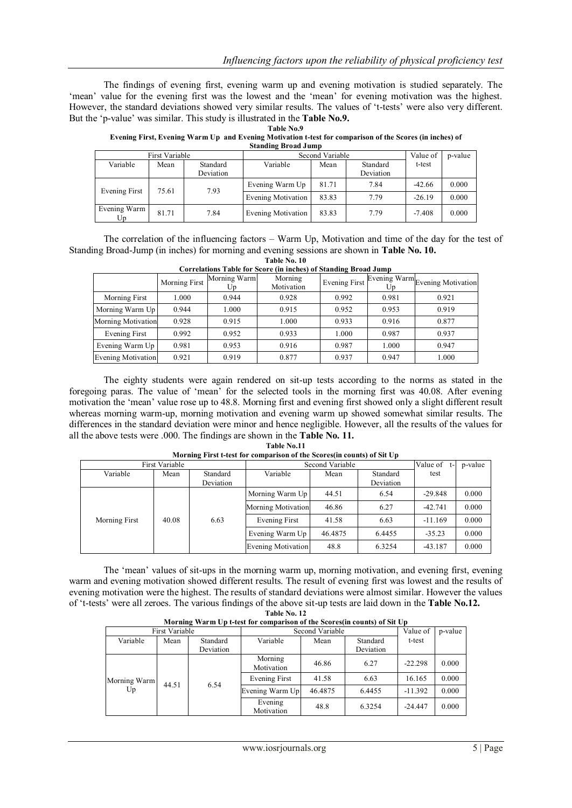The findings of evening first, evening warm up and evening motivation is studied separately. The "mean" value for the evening first was the lowest and the "mean" for evening motivation was the highest. However, the standard deviations showed very similar results. The values of "t-tests" were also very different. But the "p-value" was similar. This study is illustrated in the **Table No.9.**

| Table No.9 |  |  |
|------------|--|--|
|------------|--|--|

#### **Evening First, Evening Warm Up and Evening Motivation t-test for comparison of the Scores (in inches) of Standing Broad Jump**

| $\sim$             |       |           |                    |       |           |          |         |
|--------------------|-------|-----------|--------------------|-------|-----------|----------|---------|
| First Variable     |       |           | Second Variable    |       |           | Value of | p-value |
| Variable           | Mean  | Standard  | Variable           | Mean  | Standard  | t-test   |         |
|                    |       | Deviation |                    |       | Deviation |          |         |
| Evening First      | 75.61 | 7.93      | Evening Warm Up    | 81.71 | 7.84      | $-42.66$ | 0.000   |
|                    |       |           | Evening Motivation | 83.83 | 7.79      | $-26.19$ | 0.000   |
| Evening Warm<br>Up | 81.71 | 7.84      | Evening Motivation | 83.83 | 7.79      | $-7.408$ | 0.000   |

The correlation of the influencing factors – Warm Up, Motivation and time of the day for the test of Standing Broad-Jump (in inches) for morning and evening sessions are shown in **Table No. 10. Table No. 10**

|                           | Morning First | Morning Warm<br>Up | Morning<br>Motivation | <b>Evening First</b> | Up    | Evening Warm Evening Motivation |
|---------------------------|---------------|--------------------|-----------------------|----------------------|-------|---------------------------------|
| Morning First             | 1.000         | 0.944              | 0.928                 | 0.992                | 0.981 | 0.921                           |
| Morning Warm Up           | 0.944         | 1.000              | 0.915                 | 0.952                | 0.953 | 0.919                           |
| <b>Morning Motivation</b> | 0.928         | 0.915              | 1.000                 | 0.933                | 0.916 | 0.877                           |
| Evening First             | 0.992         | 0.952              | 0.933                 | 1.000                | 0.987 | 0.937                           |
| Evening Warm Up           | 0.981         | 0.953              | 0.916                 | 0.987                | 1.000 | 0.947                           |
| <b>Evening Motivation</b> | 0.921         | 0.919              | 0.877                 | 0.937                | 0.947 | 1.000                           |

|  |  | Correlations Table for Score (in inches) of Standing Broad Jump |
|--|--|-----------------------------------------------------------------|
|  |  |                                                                 |

The eighty students were again rendered on sit-up tests according to the norms as stated in the foregoing paras. The value of "mean" for the selected tools in the morning first was 40.08. After evening motivation the "mean" value rose up to 48.8. Morning first and evening first showed only a slight different result whereas morning warm-up, morning motivation and evening warm up showed somewhat similar results. The differences in the standard deviation were minor and hence negligible. However, all the results of the values for all the above tests were .000. The findings are shown in the **Table No. 11.**

| Table No.11                                                             |  |
|-------------------------------------------------------------------------|--|
| Morning First t-test for comparison of the Scores (in counts) of Sit Up |  |

|               | First Variable |           |                           | Second Variable |           |           | p-value<br>t- |
|---------------|----------------|-----------|---------------------------|-----------------|-----------|-----------|---------------|
| Variable      | Mean           | Standard  | Variable                  | Mean            | Standard  | test      |               |
|               |                | Deviation |                           |                 | Deviation |           |               |
|               |                |           | Morning Warm Up           | 44.51           | 6.54      | $-29.848$ | 0.000         |
|               |                |           | <b>Morning Motivation</b> | 46.86           | 6.27      | $-42.741$ | 0.000         |
| Morning First | 40.08          | 6.63      | Evening First             | 41.58           | 6.63      | $-11.169$ | 0.000         |
|               |                |           | Evening Warm Up           | 46.4875         | 6.4455    | $-35.23$  | 0.000         |
|               |                |           | <b>Evening Motivation</b> | 48.8            | 6.3254    | $-43.187$ | 0.000         |

The "mean" values of sit-ups in the morning warm up, morning motivation, and evening first, evening warm and evening motivation showed different results. The result of evening first was lowest and the results of evening motivation were the highest. The results of standard deviations were almost similar. However the values of "t-tests" were all zeroes. The various findings of the above sit-up tests are laid down in the **Table No.12.**

**Table No. 12**

|                |                    |      |                       | $\mathbf{m}$ and $\mathbf{m}$ and $\mathbf{m}$ by the comparison of the secretaring counts of situation |         |           |           |       |
|----------------|--------------------|------|-----------------------|---------------------------------------------------------------------------------------------------------|---------|-----------|-----------|-------|
| First Variable |                    |      |                       | Second Variable                                                                                         |         |           | p-value   |       |
|                | Variable           | Mean | Standard              | Variable                                                                                                | Mean    | Standard  | t-test    |       |
|                |                    |      | Deviation             |                                                                                                         |         | Deviation |           |       |
|                |                    |      |                       | Morning<br>Motivation                                                                                   | 46.86   | 6.27      | $-22.298$ | 0.000 |
|                | Morning Warm<br>Up |      | 6.54<br>44.51         | Evening First                                                                                           | 41.58   | 6.63      | 16.165    | 0.000 |
|                |                    |      |                       | Evening Warm Up                                                                                         | 46.4875 | 6.4455    | $-11.392$ | 0.000 |
|                |                    |      | Evening<br>Motivation | 48.8                                                                                                    | 6.3254  | $-24.447$ | 0.000     |       |

# **Morning Warm Up t-test for comparison of the Scores(in counts) of Sit Up**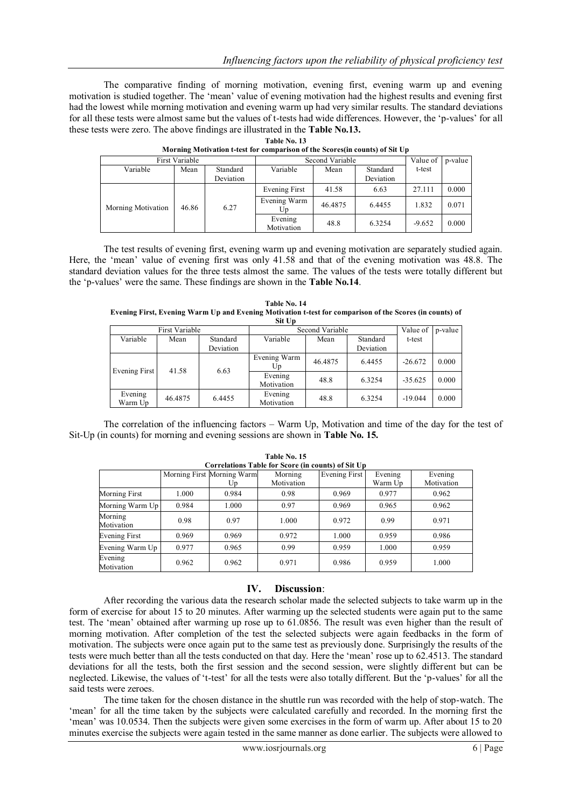The comparative finding of morning motivation, evening first, evening warm up and evening motivation is studied together. The "mean" value of evening motivation had the highest results and evening first had the lowest while morning motivation and evening warm up had very similar results. The standard deviations for all these tests were almost same but the values of t-tests had wide differences. However, the "p-values" for all these tests were zero. The above findings are illustrated in the **Table No.13.**

|  | <b>Table No. 13</b> |  |
|--|---------------------|--|
|  |                     |  |

| First Variable     |       |           | Second Variable       | Value of | p-value   |          |       |
|--------------------|-------|-----------|-----------------------|----------|-----------|----------|-------|
| Variable           | Mean  | Standard  | Variable              | Mean     | Standard  | t-test   |       |
|                    |       | Deviation |                       |          | Deviation |          |       |
|                    |       |           | Evening First         | 41.58    | 6.63      | 27.111   | 0.000 |
| Morning Motivation | 46.86 | 6.27      | Evening Warm<br>Up    | 46.4875  | 6.4455    | 1.832    | 0.071 |
|                    |       |           | Evening<br>Motivation | 48.8     | 6.3254    | $-9.652$ | 0.000 |

| Morning Motivation t-test for comparison of the Scores(in counts) of Sit Up |  |  |
|-----------------------------------------------------------------------------|--|--|
|                                                                             |  |  |

The test results of evening first, evening warm up and evening motivation are separately studied again. Here, the "mean" value of evening first was only 41.58 and that of the evening motivation was 48.8. The standard deviation values for the three tests almost the same. The values of the tests were totally different but the "p-values" were the same. These findings are shown in the **Table No.14**.

| Table No. 14                                                                                             |
|----------------------------------------------------------------------------------------------------------|
| Evening First, Evening Warm Up and Evening Motivation t-test for comparison of the Scores (in counts) of |
| Sit Up                                                                                                   |

|                    |         |           | ມແບນ                  |          |           |           |       |
|--------------------|---------|-----------|-----------------------|----------|-----------|-----------|-------|
| First Variable     |         |           | Second Variable       | Value of | p-value   |           |       |
| Variable           | Mean    | Standard  | Variable              | Mean     | Standard  | t-test    |       |
|                    |         | Deviation |                       |          | Deviation |           |       |
|                    | 41.58   |           | Evening Warm<br>Up    | 46.4875  | 6.4455    | $-26.672$ | 0.000 |
| Evening First      |         | 6.63      | Evening<br>Motivation | 48.8     | 6.3254    | $-35.625$ | 0.000 |
| Evening<br>Warm Up | 46.4875 | 6.4455    | Evening<br>Motivation | 48.8     | 6.3254    | $-19.044$ | 0.000 |

The correlation of the influencing factors – Warm Up, Motivation and time of the day for the test of Sit-Up (in counts) for morning and evening sessions are shown in **Table No. 15.**

| Correlations Table for Score (in counts) of Sit Up |       |                            |            |               |         |            |  |  |  |  |
|----------------------------------------------------|-------|----------------------------|------------|---------------|---------|------------|--|--|--|--|
|                                                    |       | Morning First Morning Warm | Morning    | Evening First | Evening | Evening    |  |  |  |  |
|                                                    |       | Up                         | Motivation |               | Warm Up | Motivation |  |  |  |  |
| Morning First                                      | 1.000 | 0.984                      | 0.98       | 0.969         | 0.977   | 0.962      |  |  |  |  |
| Morning Warm Up                                    | 0.984 | 1.000                      | 0.97       | 0.969         | 0.965   | 0.962      |  |  |  |  |
| Morning                                            | 0.98  | 0.97                       | 1.000      | 0.972         | 0.99    | 0.971      |  |  |  |  |
| Motivation                                         |       |                            |            |               |         |            |  |  |  |  |
| <b>Evening First</b>                               | 0.969 | 0.969                      | 0.972      | 1.000         | 0.959   | 0.986      |  |  |  |  |
| Evening Warm Up                                    | 0.977 | 0.965                      | 0.99       | 0.959         | 1.000   | 0.959      |  |  |  |  |
| Evening<br>Motivation                              | 0.962 | 0.962                      | 0.971      | 0.986         | 0.959   | 1.000      |  |  |  |  |

**Table No. 15**

## **IV. Discussion**:

After recording the various data the research scholar made the selected subjects to take warm up in the form of exercise for about 15 to 20 minutes. After warming up the selected students were again put to the same test. The "mean" obtained after warming up rose up to 61.0856. The result was even higher than the result of morning motivation. After completion of the test the selected subjects were again feedbacks in the form of motivation. The subjects were once again put to the same test as previously done. Surprisingly the results of the tests were much better than all the tests conducted on that day. Here the "mean" rose up to 62.4513. The standard deviations for all the tests, both the first session and the second session, were slightly different but can be neglected. Likewise, the values of "t-test" for all the tests were also totally different. But the "p-values" for all the said tests were zeroes.

The time taken for the chosen distance in the shuttle run was recorded with the help of stop-watch. The "mean" for all the time taken by the subjects were calculated carefully and recorded. In the morning first the "mean" was 10.0534. Then the subjects were given some exercises in the form of warm up. After about 15 to 20 minutes exercise the subjects were again tested in the same manner as done earlier. The subjects were allowed to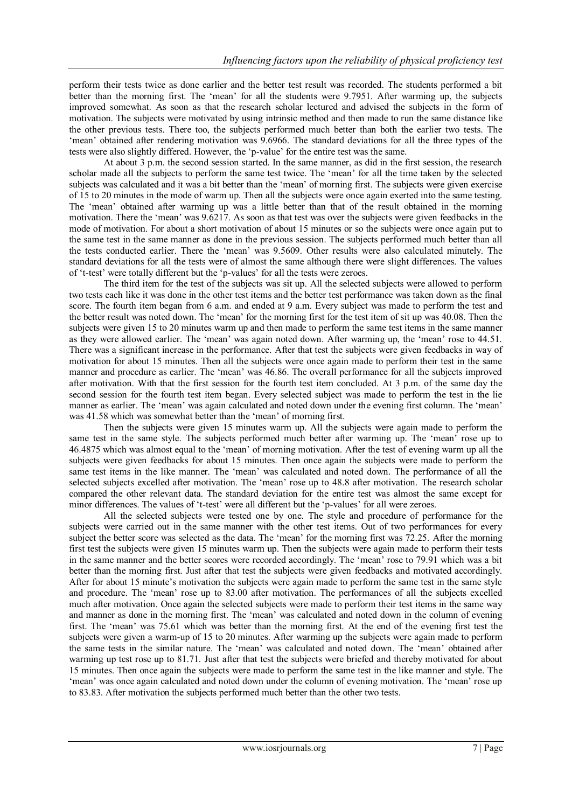perform their tests twice as done earlier and the better test result was recorded. The students performed a bit better than the morning first. The "mean" for all the students were 9.7951. After warming up, the subjects improved somewhat. As soon as that the research scholar lectured and advised the subjects in the form of motivation. The subjects were motivated by using intrinsic method and then made to run the same distance like the other previous tests. There too, the subjects performed much better than both the earlier two tests. The 'mean' obtained after rendering motivation was 9.6966. The standard deviations for all the three types of the tests were also slightly differed. However, the "p-value" for the entire test was the same.

At about 3 p.m. the second session started. In the same manner, as did in the first session, the research scholar made all the subjects to perform the same test twice. The "mean" for all the time taken by the selected subjects was calculated and it was a bit better than the "mean" of morning first. The subjects were given exercise of 15 to 20 minutes in the mode of warm up. Then all the subjects were once again exerted into the same testing. The "mean" obtained after warming up was a little better than that of the result obtained in the morning motivation. There the "mean" was 9.6217. As soon as that test was over the subjects were given feedbacks in the mode of motivation. For about a short motivation of about 15 minutes or so the subjects were once again put to the same test in the same manner as done in the previous session. The subjects performed much better than all the tests conducted earlier. There the "mean" was 9.5609. Other results were also calculated minutely. The standard deviations for all the tests were of almost the same although there were slight differences. The values of "t-test" were totally different but the "p-values" for all the tests were zeroes.

The third item for the test of the subjects was sit up. All the selected subjects were allowed to perform two tests each like it was done in the other test items and the better test performance was taken down as the final score. The fourth item began from 6 a.m. and ended at 9 a.m. Every subject was made to perform the test and the better result was noted down. The "mean" for the morning first for the test item of sit up was 40.08. Then the subjects were given 15 to 20 minutes warm up and then made to perform the same test items in the same manner as they were allowed earlier. The "mean" was again noted down. After warming up, the "mean" rose to 44.51. There was a significant increase in the performance. After that test the subjects were given feedbacks in way of motivation for about 15 minutes. Then all the subjects were once again made to perform their test in the same manner and procedure as earlier. The "mean" was 46.86. The overall performance for all the subjects improved after motivation. With that the first session for the fourth test item concluded. At 3 p.m. of the same day the second session for the fourth test item began. Every selected subject was made to perform the test in the lie manner as earlier. The "mean" was again calculated and noted down under the evening first column. The "mean" was 41.58 which was somewhat better than the "mean" of morning first.

Then the subjects were given 15 minutes warm up. All the subjects were again made to perform the same test in the same style. The subjects performed much better after warming up. The "mean" rose up to 46.4875 which was almost equal to the "mean" of morning motivation. After the test of evening warm up all the subjects were given feedbacks for about 15 minutes. Then once again the subjects were made to perform the same test items in the like manner. The "mean" was calculated and noted down. The performance of all the selected subjects excelled after motivation. The "mean" rose up to 48.8 after motivation. The research scholar compared the other relevant data. The standard deviation for the entire test was almost the same except for minor differences. The values of "t-test" were all different but the "p-values" for all were zeroes.

All the selected subjects were tested one by one. The style and procedure of performance for the subjects were carried out in the same manner with the other test items. Out of two performances for every subject the better score was selected as the data. The 'mean' for the morning first was 72.25. After the morning first test the subjects were given 15 minutes warm up. Then the subjects were again made to perform their tests in the same manner and the better scores were recorded accordingly. The "mean" rose to 79.91 which was a bit better than the morning first. Just after that test the subjects were given feedbacks and motivated accordingly. After for about 15 minute's motivation the subjects were again made to perform the same test in the same style and procedure. The "mean" rose up to 83.00 after motivation. The performances of all the subjects excelled much after motivation. Once again the selected subjects were made to perform their test items in the same way and manner as done in the morning first. The "mean" was calculated and noted down in the column of evening first. The "mean" was 75.61 which was better than the morning first. At the end of the evening first test the subjects were given a warm-up of 15 to 20 minutes. After warming up the subjects were again made to perform the same tests in the similar nature. The "mean" was calculated and noted down. The "mean" obtained after warming up test rose up to 81.71. Just after that test the subjects were briefed and thereby motivated for about 15 minutes. Then once again the subjects were made to perform the same test in the like manner and style. The "mean" was once again calculated and noted down under the column of evening motivation. The "mean" rose up to 83.83. After motivation the subjects performed much better than the other two tests.